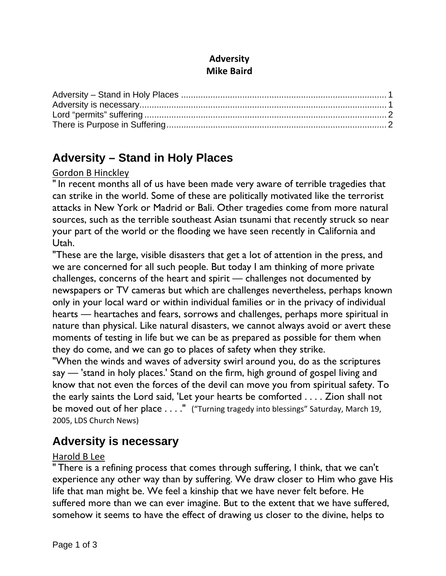### **Adversity Mike Baird**

# **Adversity – Stand in Holy Places**

#### Gordon B Hinckley

" In recent months all of us have been made very aware of terrible tragedies that can strike in the world. Some of these are politically motivated like the terrorist attacks in New York or Madrid or Bali. Other tragedies come from more natural sources, such as the terrible southeast Asian tsunami that recently struck so near your part of the world or the flooding we have seen recently in California and Utah.

"These are the large, visible disasters that get a lot of attention in the press, and we are concerned for all such people. But today I am thinking of more private challenges, concerns of the heart and spirit — challenges not documented by newspapers or TV cameras but which are challenges nevertheless, perhaps known only in your local ward or within individual families or in the privacy of individual hearts — heartaches and fears, sorrows and challenges, perhaps more spiritual in nature than physical. Like natural disasters, we cannot always avoid or avert these moments of testing in life but we can be as prepared as possible for them when they do come, and we can go to places of safety when they strike.

"When the winds and waves of adversity swirl around you, do as the scriptures say — 'stand in holy places.' Stand on the firm, high ground of gospel living and know that not even the forces of the devil can move you from spiritual safety. To the early saints the Lord said, 'Let your hearts be comforted . . . . Zion shall not be moved out of her place . . . ." ("Turning tragedy into blessings" Saturday, March 19, 2005, LDS Church News)

## **Adversity is necessary**

#### Harold B Lee

" There is a refining process that comes through suffering, I think, that we can't experience any other way than by suffering. We draw closer to Him who gave His life that man might be. We feel a kinship that we have never felt before. He suffered more than we can ever imagine. But to the extent that we have suffered, somehow it seems to have the effect of drawing us closer to the divine, helps to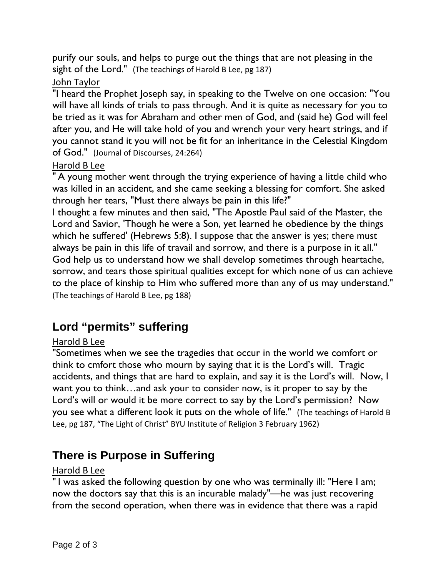purify our souls, and helps to purge out the things that are not pleasing in the sight of the Lord." (The teachings of Harold B Lee, pg 187)

## John Taylor

"I heard the Prophet Joseph say, in speaking to the Twelve on one occasion: "You will have all kinds of trials to pass through. And it is quite as necessary for you to be tried as it was for Abraham and other men of God, and (said he) God will feel after you, and He will take hold of you and wrench your very heart strings, and if you cannot stand it you will not be fit for an inheritance in the Celestial Kingdom of God." (Journal of Discourses, 24:264)

### Harold B Lee

" A young mother went through the trying experience of having a little child who was killed in an accident, and she came seeking a blessing for comfort. She asked through her tears, "Must there always be pain in this life?"

I thought a few minutes and then said, "The Apostle Paul said of the Master, the Lord and Savior, 'Though he were a Son, yet learned he obedience by the things which he suffered' (Hebrews 5:8). I suppose that the answer is yes; there must always be pain in this life of travail and sorrow, and there is a purpose in it all." God help us to understand how we shall develop sometimes through heartache, sorrow, and tears those spiritual qualities except for which none of us can achieve to the place of kinship to Him who suffered more than any of us may understand." (The teachings of Harold B Lee, pg 188)

# **Lord "permits" suffering**

### Harold B Lee

"Sometimes when we see the tragedies that occur in the world we comfort or think to cmfort those who mourn by saying that it is the Lord's will. Tragic accidents, and things that are hard to explain, and say it is the Lord's will. Now, I want you to think…and ask your to consider now, is it proper to say by the Lord's will or would it be more correct to say by the Lord's permission? Now you see what a different look it puts on the whole of life." (The teachings of Harold B Lee, pg 187, "The Light of Christ" BYU Institute of Religion 3 February 1962)

## **There is Purpose in Suffering**

#### Harold B Lee

" I was asked the following question by one who was terminally ill: "Here I am; now the doctors say that this is an incurable malady"—he was just recovering from the second operation, when there was in evidence that there was a rapid